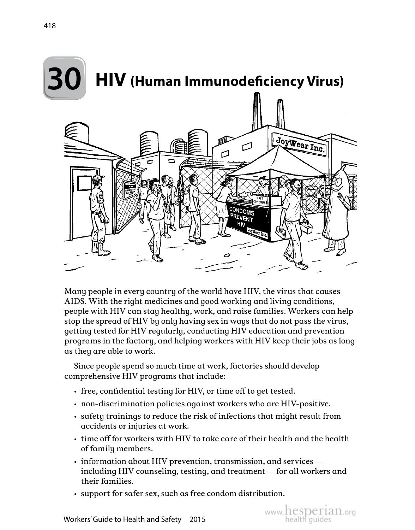

Many people in every country of the world have HIV, the virus that causes AIDS. With the right medicines and good working and living conditions, people with HIV can stay healthy, work, and raise families. Workers can help stop the spread of HIV by only having sex in ways that do not pass the virus, getting tested for HIV regularly, conducting HIV education and prevention programs in the factory, and helping workers with HIV keep their jobs as long as they are able to work.

Since people spend so much time at work, factories should develop comprehensive HIV programs that include:

- free, confidential testing for HIV, or time off to get tested.
- non-discrimination policies against workers who are HIV-positive.
- safety trainings to reduce the risk of infections that might result from accidents or injuries at work.
- time off for workers with HIV to take care of their health and the health of family members.
- information about HIV prevention, transmission, and services including HIV counseling, testing, and treatment — for all workers and their families.

www.hesperian.org

• support for safer sex, such as free condom distribution.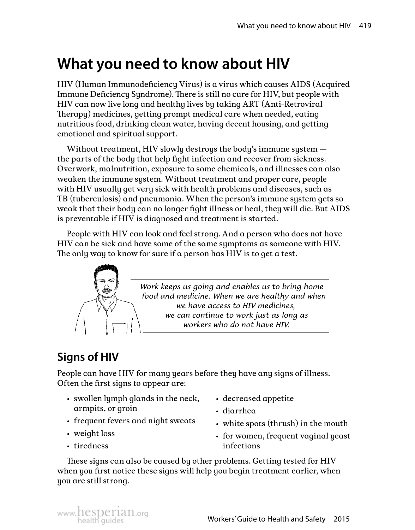# **What you need to know about HIV**

HIV (Human Immunodeficiency Virus) is a virus which causes AIDS (Acquired Immune Deficiency Syndrome). There is still no cure for HIV, but people with HIV can now live long and healthy lives by taking ART (Anti-Retroviral Therapy) medicines, getting prompt medical care when needed, eating nutritious food, drinking clean water, having decent housing, and getting emotional and spiritual support.

Without treatment, HIV slowly destroys the body's immune system the parts of the body that help fight infection and recover from sickness. Overwork, malnutrition, exposure to some chemicals, and illnesses can also weaken the immune system. Without treatment and proper care, people with HIV usually get very sick with health problems and diseases, such as TB (tuberculosis) and pneumonia. When the person's immune system gets so weak that their body can no longer fight illness or heal, they will die. But AIDS is preventable if HIV is diagnosed and treatment is started.

People with HIV can look and feel strong. And a person who does not have HIV can be sick and have some of the same symptoms as someone with HIV. The only way to know for sure if a person has HIV is to get a test.



*Work keeps us going and enables us to bring home food and medicine. When we are healthy and when we have access to HIV medicines, we can continue to work just as long as workers who do not have HIV.*

## **Signs of HIV**

People can have HIV for many years before they have any signs of illness. Often the first signs to appear are:

- swollen lymph glands in the neck, armpits, or groin
- decreased appetite
- diarrhea
- frequent fevers and night sweats • white spots (thrush) in the mouth
- weight loss
- tiredness

• for women, frequent vaginal yeast infections

These signs can also be caused by other problems. Getting tested for HIV when you first notice these signs will help you begin treatment earlier, when you are still strong.

www. hesperian.org<br>health quides **Exercise Service Correst Workers' Guide to Health and Safety** 2015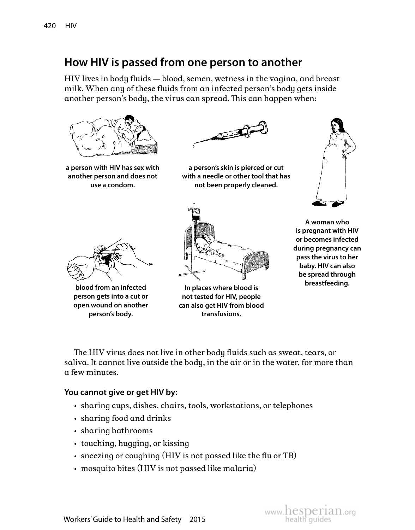## **How HIV is passed from one person to another**

HIV lives in body fluids — blood, semen, wetness in the vagina, and breast milk. When any of these fluids from an infected person's body gets inside another person's body, the virus can spread. This can happen when:



**a person with HIV has sex with another person and does not use a condom.**



**a person's skin is pierced or cut with a needle or other tool that has not been properly cleaned.**





**blood from an infected person gets into a cut or open wound on another person's body.**



**In places where blood is not tested for HIV, people can also get HIV from blood transfusions.**

**A woman who is pregnant with HIV or becomes infected during pregnancy can pass the virus to her baby. HIV can also be spread through breastfeeding.**

The HIV virus does not live in other body fluids such as sweat, tears, or saliva. It cannot live outside the body, in the air or in the water, for more than a few minutes.

#### **You cannot give or get HIV by:**

- sharing cups, dishes, chairs, tools, workstations, or telephones
- sharing food and drinks
- sharing bathrooms
- touching, hugging, or kissing
- sneezing or coughing (HIV is not passed like the flu or TB)
- mosquito bites (HIV is not passed like malaria)

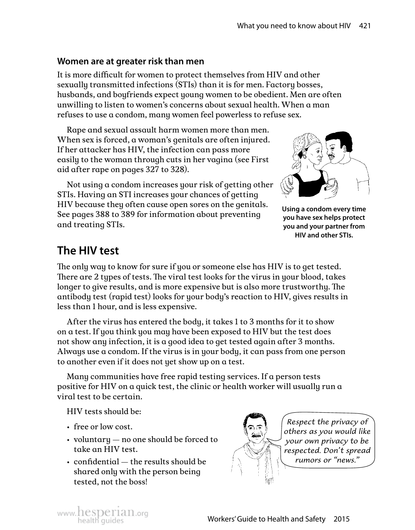#### **Women are at greater risk than men**

It is more difficult for women to protect themselves from HIV and other sexually transmitted infections (STIs) than it is for men. Factory bosses, husbands, and boyfriends expect young women to be obedient. Men are often unwilling to listen to women's concerns about sexual health. When a man refuses to use a condom, many women feel powerless to refuse sex.

Rape and sexual assault harm women more than men. When sex is forced, a woman's genitals are often injured. If her attacker has HIV, the infection can pass more easily to the woman through cuts in her vagina (see First aid after rape on pages 327 to 328).

Not using a condom increases your risk of getting other STIs. Having an STI increases your chances of getting HIV because they often cause open sores on the genitals. See pages 388 to 389 for information about preventing and treating STIs.



**Using a condom every time you have sex helps protect you and your partner from HIV and other STIs.**

## **The HIV test**

The only way to know for sure if you or someone else has HIV is to get tested. There are 2 types of tests. The viral test looks for the virus in your blood, takes longer to give results, and is more expensive but is also more trustworthy. The antibody test (rapid test) looks for your body's reaction to HIV, gives results in less than 1 hour, and is less expensive.

After the virus has entered the body, it takes 1 to 3 months for it to show on a test. If you think you may have been exposed to HIV but the test does not show any infection, it is a good idea to get tested again after 3 months. Always use a condom. If the virus is in your body, it can pass from one person to another even if it does not yet show up on a test.

Many communities have free rapid testing services. If a person tests positive for HIV on a quick test, the clinic or health worker will usually run a viral test to be certain.

HIV tests should be:

- free or low cost.
- voluntary no one should be forced to take an HIV test.
- confidential the results should be shared only with the person being tested, not the boss!



*Respect the privacy of others as you would like your own privacy to be respected. Don't spread rumors or "news."*

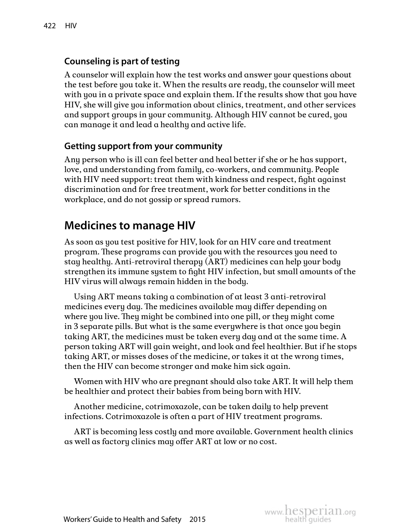### **Counseling is part of testing**

A counselor will explain how the test works and answer your questions about the test before you take it. When the results are ready, the counselor will meet with you in a private space and explain them. If the results show that you have HIV, she will give you information about clinics, treatment, and other services and support groups in your community. Although HIV cannot be cured, you can manage it and lead a healthy and active life.

#### **Getting support from your community**

Any person who is ill can feel better and heal better if she or he has support, love, and understanding from family, co-workers, and community. People with HIV need support: treat them with kindness and respect, fight against discrimination and for free treatment, work for better conditions in the workplace, and do not gossip or spread rumors.

## **Medicines to manage HIV**

As soon as you test positive for HIV, look for an HIV care and treatment program. These programs can provide you with the resources you need to stay healthy. Anti-retroviral therapy (ART) medicines can help your body strengthen its immune system to fight HIV infection, but small amounts of the HIV virus will always remain hidden in the body.

Using ART means taking a combination of at least 3 anti-retroviral medicines every day. The medicines available may differ depending on where you live. They might be combined into one pill, or they might come in 3 separate pills. But what is the same everywhere is that once you begin taking ART, the medicines must be taken every day and at the same time. A person taking ART will gain weight, and look and feel healthier. But if he stops taking ART, or misses doses of the medicine, or takes it at the wrong times, then the HIV can become stronger and make him sick again.

Women with HIV who are pregnant should also take ART. It will help them be healthier and protect their babies from being born with HIV.

Another medicine, cotrimoxazole, can be taken daily to help prevent infections. Cotrimoxazole is often a part of HIV treatment programs.

ART is becoming less costly and more available. Government health clinics as well as factory clinics may offer ART at low or no cost.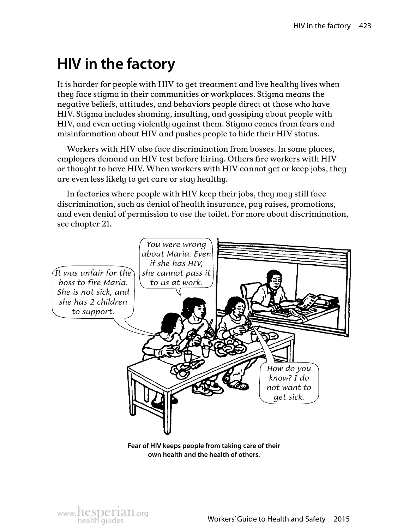# **HIV in the factory**

It is harder for people with HIV to get treatment and live healthy lives when they face stigma in their communities or workplaces. Stigma means the negative beliefs, attitudes, and behaviors people direct at those who have HIV. Stigma includes shaming, insulting, and gossiping about people with HIV, and even acting violently against them. Stigma comes from fears and misinformation about HIV and pushes people to hide their HIV status.

Workers with HIV also face discrimination from bosses. In some places, employers demand an HIV test before hiring. Others fire workers with HIV or thought to have HIV. When workers with HIV cannot get or keep jobs, they are even less likely to get care or stay healthy.

In factories where people with HIV keep their jobs, they may still face discrimination, such as denial of health insurance, pay raises, promotions, and even denial of permission to use the toilet. For more about discrimination, see chapter 21.



**Fear of HIV keeps people from taking care of their own health and the health of others.**

www. hesperian.org<br>health quides **Workers' Guide to Health and Safety** 2015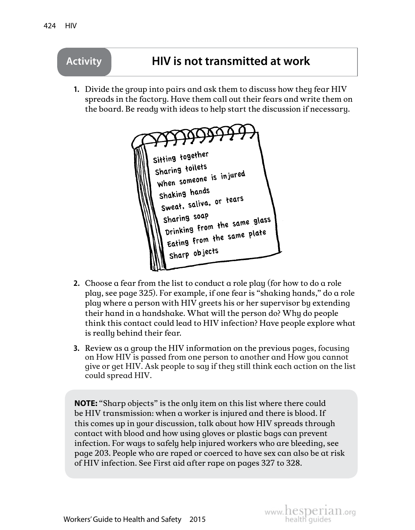

- **2.** Choose a fear from the list to conduct a role play (for how to do a role play, see page 325). For example, if one fear is "shaking hands," do a role play where a person with HIV greets his or her supervisor by extending their hand in a handshake. What will the person do? Why do people think this contact could lead to HIV infection? Have people explore what is really behind their fear.
- **3.** Review as a group the HIV information on the previous pages, focusing on How HIV is passed from one person to another and How you cannot give or get HIV. Ask people to say if they still think each action on the list could spread HIV.

**NOTE:** "Sharp objects" is the only item on this list where there could be HIV transmission: when a worker is injured and there is blood. If this comes up in your discussion, talk about how HIV spreads through contact with blood and how using gloves or plastic bags can prevent infection. For ways to safely help injured workers who are bleeding, see page 203. People who are raped or coerced to have sex can also be at risk of HIV infection. See First aid after rape on pages 327 to 328.

www.hesperian.org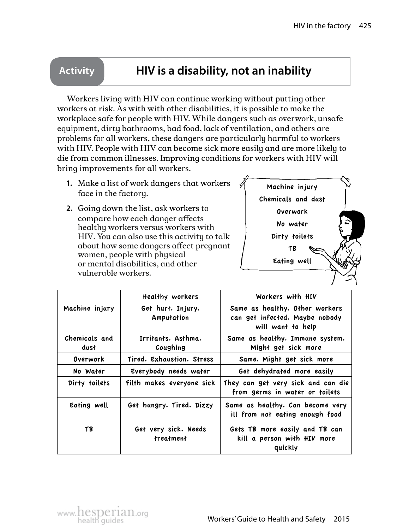## **Activity HIV is a disability, not an inability**

Workers living with HIV can continue working without putting other workers at risk. As with with other disabilities, it is possible to make the workplace safe for people with HIV. While dangers such as overwork, unsafe equipment, dirty bathrooms, bad food, lack of ventilation, and others are problems for all workers, these dangers are particularly harmful to workers with HIV. People with HIV can become sick more easily and are more likely to die from common illnesses. Improving conditions for workers with HIV will bring improvements for all workers.

- **1.**  Make a list of work dangers that workers face in the factory.
- **2.** Going down the list, ask workers to compare how each danger affects healthy workers versus workers with HIV. You can also use this activity to talk about how some dangers affect pregnant women, people with physical or mental disabilities, and other vulnerable workers.



|                       | Healthy workers                   | Workers with HIV                                                                      |
|-----------------------|-----------------------------------|---------------------------------------------------------------------------------------|
| Machine injury        | Get hurt. Injury.<br>Amputation   | Same as healthy. Other workers<br>can get infected. Maybe nobody<br>will want to help |
| Chemicals and<br>dust | Irritants. Asthma.<br>Coughing    | Same as healthy. Immune system.<br>Might get sick more                                |
| Overwork              | Tired. Exhaustion. Stress         | Same. Might get sick more                                                             |
| No Water              | Everybody needs water             | Get dehydrated more easily                                                            |
| Dirty toilets         | Filth makes everyone sick         | They can get very sick and can die<br>from germs in water or toilets                  |
| Eating well           | Get hungry. Tired. Dizzy          | Same as healthy. Can become very<br>ill from not eating enough food                   |
| ТB                    | Get very sick. Needs<br>treatment | Gets TB more easily and TB can<br>kill a person with HIV more<br>quickly              |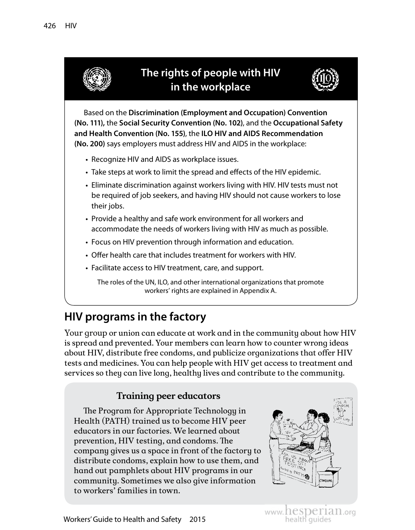

## **HIV programs in the factory**

Your group or union can educate at work and in the community about how HIV is spread and prevented. Your members can learn how to counter wrong ideas about HIV, distribute free condoms, and publicize organizations that offer HIV tests and medicines. You can help people with HIV get access to treatment and services so they can live long, healthy lives and contribute to the community.

#### **Training peer educators**

The Program for Appropriate Technology in Health (PATH) trained us to become HIV peer educators in our factories. We learned about prevention, HIV testing, and condoms. The company gives us a space in front of the factory to distribute condoms, explain how to use them, and hand out pamphlets about HIV programs in our community. Sometimes we also give information to workers' families in town.



www.hesperian.org

Workers' Guide to Health and Safety 2015 Morkers' Guides